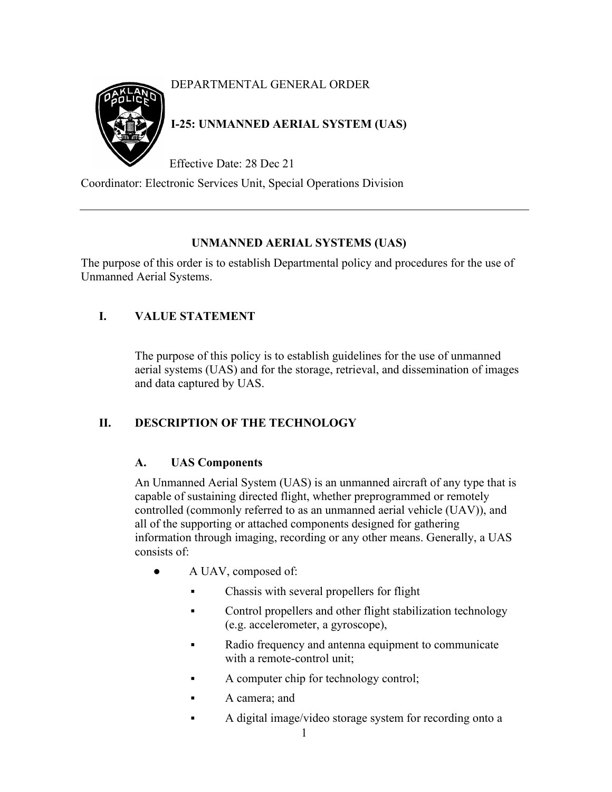# DEPARTMENTAL GENERAL ORDER

# **I-25: UNMANNED AERIAL SYSTEM (UAS)**

Effective Date: 28 Dec 21

Coordinator: Electronic Services Unit, Special Operations Division

# **UNMANNED AERIAL SYSTEMS (UAS)**

The purpose of this order is to establish Departmental policy and procedures for the use of Unmanned Aerial Systems.

# **I. VALUE STATEMENT**

The purpose of this policy is to establish guidelines for the use of unmanned aerial systems (UAS) and for the storage, retrieval, and dissemination of images and data captured by UAS.

# **II. DESCRIPTION OF THE TECHNOLOGY**

# **A. UAS Components**

An Unmanned Aerial System (UAS) is an unmanned aircraft of any type that is capable of sustaining directed flight, whether preprogrammed or remotely controlled (commonly referred to as an unmanned aerial vehicle (UAV)), and all of the supporting or attached components designed for gathering information through imaging, recording or any other means. Generally, a UAS consists of:

- A UAV, composed of:
	- **•** Chassis with several propellers for flight
	- **•** Control propellers and other flight stabilization technology (e.g. accelerometer, a gyroscope),
	- Radio frequency and antenna equipment to communicate with a remote-control unit;
	- A computer chip for technology control;
	- A camera; and
	- A digital image/video storage system for recording onto a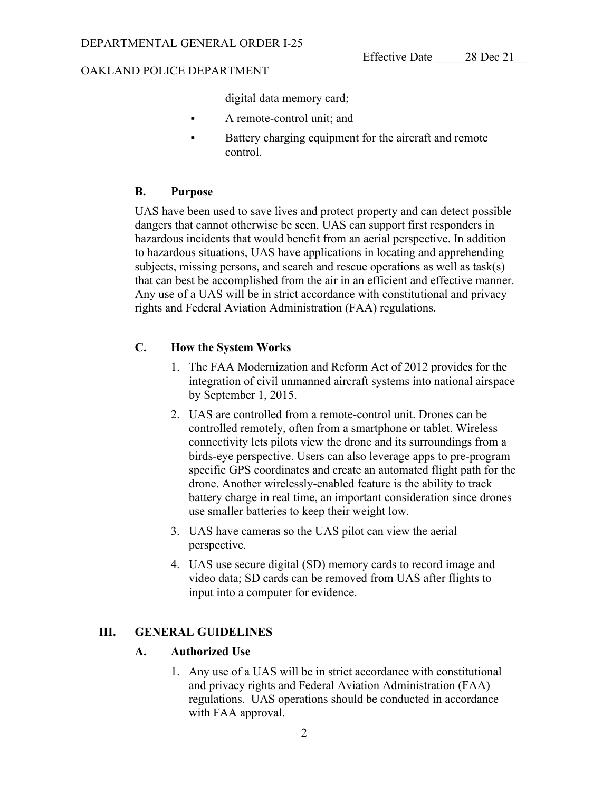digital data memory card;

- A remote-control unit; and
- **EXECUTE:** Battery charging equipment for the aircraft and remote control.

# **B. Purpose**

UAS have been used to save lives and protect property and can detect possible dangers that cannot otherwise be seen. UAS can support first responders in hazardous incidents that would benefit from an aerial perspective. In addition to hazardous situations, UAS have applications in locating and apprehending subjects, missing persons, and search and rescue operations as well as task(s) that can best be accomplished from the air in an efficient and effective manner. Any use of a UAS will be in strict accordance with constitutional and privacy rights and Federal Aviation Administration (FAA) regulations.

# **C. How the System Works**

- 1. The FAA Modernization and Reform Act of 2012 provides for the integration of civil unmanned aircraft systems into national airspace by September 1, 2015.
- 2. UAS are controlled from a remote-control unit. Drones can be controlled remotely, often from a smartphone or tablet. Wireless connectivity lets pilots view the drone and its surroundings from a birds-eye perspective. Users can also leverage apps to pre-program specific GPS coordinates and create an automated flight path for the drone. Another wirelessly-enabled feature is the ability to track battery charge in real time, an important consideration since drones use smaller batteries to keep their weight low.
- 3. UAS have cameras so the UAS pilot can view the aerial perspective.
- 4. UAS use secure digital (SD) memory cards to record image and video data; SD cards can be removed from UAS after flights to input into a computer for evidence.

# **III. GENERAL GUIDELINES**

# **A. Authorized Use**

1. Any use of a UAS will be in strict accordance with constitutional and privacy rights and Federal Aviation Administration (FAA) regulations. UAS operations should be conducted in accordance with FAA approval.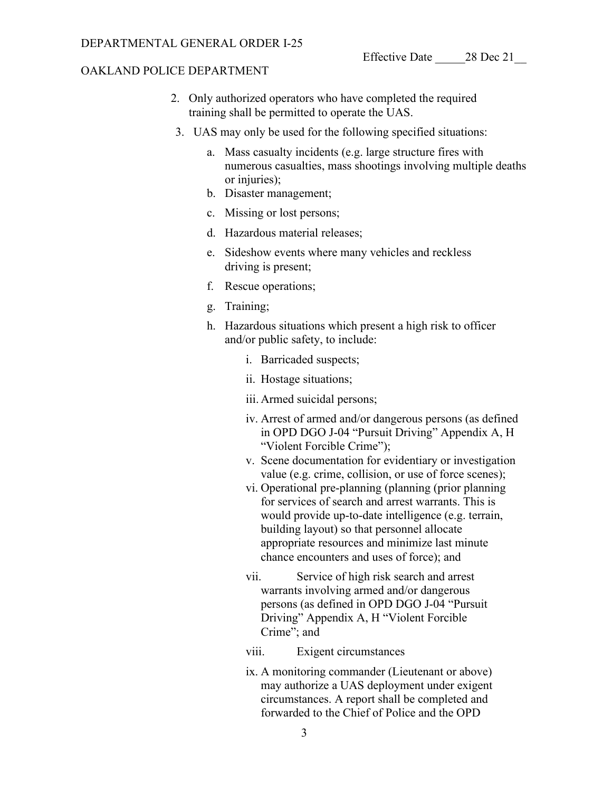- 2. Only authorized operators who have completed the required training shall be permitted to operate the UAS.
- 3. UAS may only be used for the following specified situations:
	- a. Mass casualty incidents (e.g. large structure fires with numerous casualties, mass shootings involving multiple deaths or injuries);
	- b. Disaster management;
	- c. Missing or lost persons;
	- d. Hazardous material releases;
	- e. Sideshow events where many vehicles and reckless driving is present;
	- f. Rescue operations;
	- g. Training;
	- h. Hazardous situations which present a high risk to officer and/or public safety, to include:
		- i. Barricaded suspects;
		- ii. Hostage situations;
		- iii. Armed suicidal persons;
		- iv. Arrest of armed and/or dangerous persons (as defined in OPD DGO J-04 "Pursuit Driving" Appendix A, H "Violent Forcible Crime");
		- v. Scene documentation for evidentiary or investigation value (e.g. crime, collision, or use of force scenes);
		- vi. Operational pre-planning (planning (prior planning for services of search and arrest warrants. This is would provide up-to-date intelligence (e.g. terrain, building layout) so that personnel allocate appropriate resources and minimize last minute chance encounters and uses of force); and
		- vii. Service of high risk search and arrest warrants involving armed and/or dangerous persons (as defined in OPD DGO J-04 "Pursuit Driving" Appendix A, H "Violent Forcible Crime"; and
		- viii. Exigent circumstances
		- ix. A monitoring commander (Lieutenant or above) may authorize a UAS deployment under exigent circumstances. A report shall be completed and forwarded to the Chief of Police and the OPD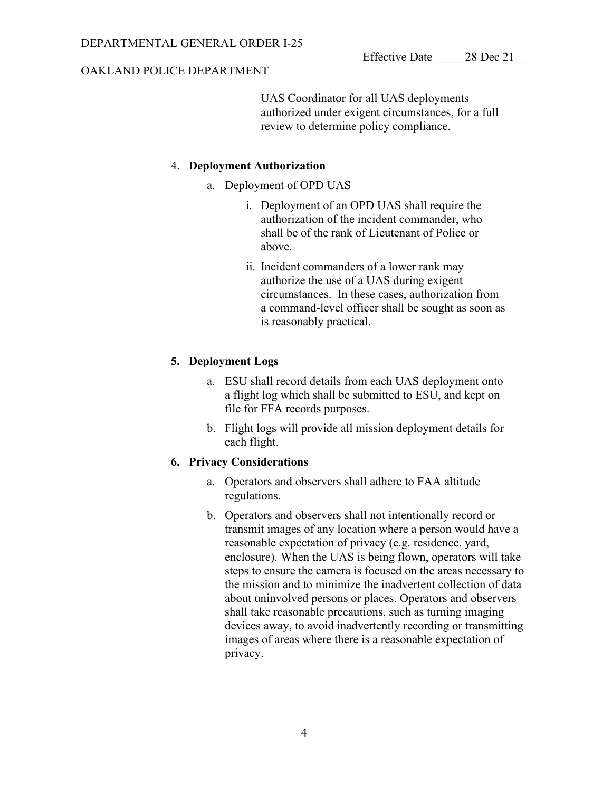UAS Coordinator for all UAS deployments authorized under exigent circumstances, for a full review to determine policy compliance.

# 4. **Deployment Authorization**

- a. Deployment of OPD UAS
	- i. Deployment of an OPD UAS shall require the authorization of the incident commander, who shall be of the rank of Lieutenant of Police or above.
	- ii. Incident commanders of a lower rank may authorize the use of a UAS during exigent circumstances. In these cases, authorization from a command-level officer shall be sought as soon as is reasonably practical.

# **5. Deployment Logs**

- a. ESU shall record details from each UAS deployment onto a flight log which shall be submitted to ESU, and kept on file for FFA records purposes.
- b. Flight logs will provide all mission deployment details for each flight.

# **6. Privacy Considerations**

- a. Operators and observers shall adhere to FAA altitude regulations.
- b. Operators and observers shall not intentionally record or transmit images of any location where a person would have a reasonable expectation of privacy (e.g. residence, yard, enclosure). When the UAS is being flown, operators will take steps to ensure the camera is focused on the areas necessary to the mission and to minimize the inadvertent collection of data about uninvolved persons or places. Operators and observers shall take reasonable precautions, such as turning imaging devices away, to avoid inadvertently recording or transmitting images of areas where there is a reasonable expectation of privacy.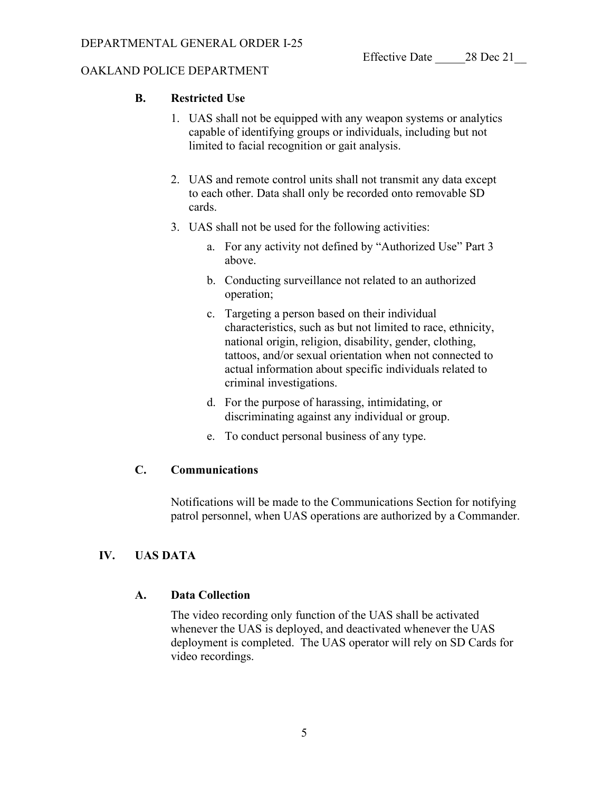# **B. Restricted Use**

- 1. UAS shall not be equipped with any weapon systems or analytics capable of identifying groups or individuals, including but not limited to facial recognition or gait analysis.
- 2. UAS and remote control units shall not transmit any data except to each other. Data shall only be recorded onto removable SD cards.
- 3. UAS shall not be used for the following activities:
	- a. For any activity not defined by "Authorized Use" Part 3 above.
	- b. Conducting surveillance not related to an authorized operation;
	- c. Targeting a person based on their individual characteristics, such as but not limited to race, ethnicity, national origin, religion, disability, gender, clothing, tattoos, and/or sexual orientation when not connected to actual information about specific individuals related to criminal investigations.
	- d. For the purpose of harassing, intimidating, or discriminating against any individual or group.
	- e. To conduct personal business of any type.

# **C. Communications**

Notifications will be made to the Communications Section for notifying patrol personnel, when UAS operations are authorized by a Commander.

# **IV. UAS DATA**

# **A. Data Collection**

The video recording only function of the UAS shall be activated whenever the UAS is deployed, and deactivated whenever the UAS deployment is completed. The UAS operator will rely on SD Cards for video recordings.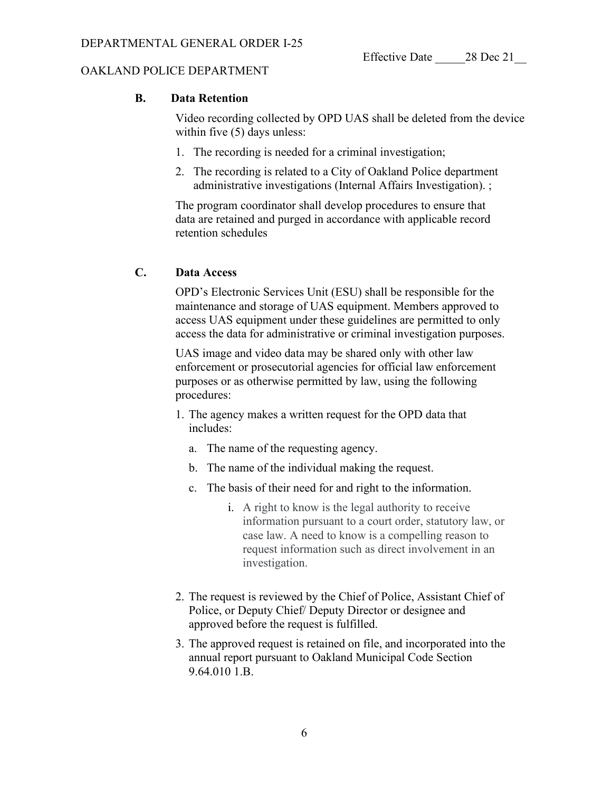#### **B. Data Retention**

Video recording collected by OPD UAS shall be deleted from the device within five (5) days unless:

- 1. The recording is needed for a criminal investigation;
- 2. The recording is related to a City of Oakland Police department administrative investigations (Internal Affairs Investigation). ;

The program coordinator shall develop procedures to ensure that data are retained and purged in accordance with applicable record retention schedules

# **C. Data Access**

OPD's Electronic Services Unit (ESU) shall be responsible for the maintenance and storage of UAS equipment. Members approved to access UAS equipment under these guidelines are permitted to only access the data for administrative or criminal investigation purposes.

UAS image and video data may be shared only with other law enforcement or prosecutorial agencies for official law enforcement purposes or as otherwise permitted by law, using the following procedures:

- 1. The agency makes a written request for the OPD data that includes:
	- a. The name of the requesting agency.
	- b. The name of the individual making the request.
	- c. The basis of their need for and right to the information.
		- i. A right to know is the legal authority to receive information pursuant to a court order, statutory law, or case law. A need to know is a compelling reason to request information such as direct involvement in an investigation.
- 2. The request is reviewed by the Chief of Police, Assistant Chief of Police, or Deputy Chief/ Deputy Director or designee and approved before the request is fulfilled.
- 3. The approved request is retained on file, and incorporated into the annual report pursuant to Oakland Municipal Code Section 9.64.010 1.B.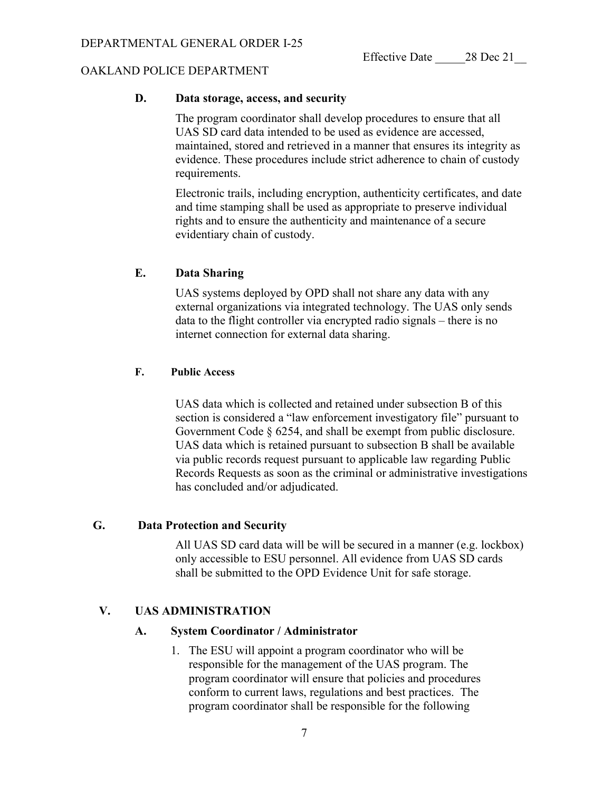### **D. Data storage, access, and security**

The program coordinator shall develop procedures to ensure that all UAS SD card data intended to be used as evidence are accessed, maintained, stored and retrieved in a manner that ensures its integrity as evidence. These procedures include strict adherence to chain of custody requirements.

Electronic trails, including encryption, authenticity certificates, and date and time stamping shall be used as appropriate to preserve individual rights and to ensure the authenticity and maintenance of a secure evidentiary chain of custody.

#### **E. Data Sharing**

UAS systems deployed by OPD shall not share any data with any external organizations via integrated technology. The UAS only sends data to the flight controller via encrypted radio signals – there is no internet connection for external data sharing.

#### **F. Public Access**

UAS data which is collected and retained under subsection B of this section is considered a "law enforcement investigatory file" pursuant to Government Code § 6254, and shall be exempt from public disclosure. UAS data which is retained pursuant to subsection B shall be available via public records request pursuant to applicable law regarding Public Records Requests as soon as the criminal or administrative investigations has concluded and/or adjudicated.

# **G. Data Protection and Security**

All UAS SD card data will be will be secured in a manner (e.g. lockbox) only accessible to ESU personnel. All evidence from UAS SD cards shall be submitted to the OPD Evidence Unit for safe storage.

# **V. UAS ADMINISTRATION**

#### **A. System Coordinator / Administrator**

1. The ESU will appoint a program coordinator who will be responsible for the management of the UAS program. The program coordinator will ensure that policies and procedures conform to current laws, regulations and best practices. The program coordinator shall be responsible for the following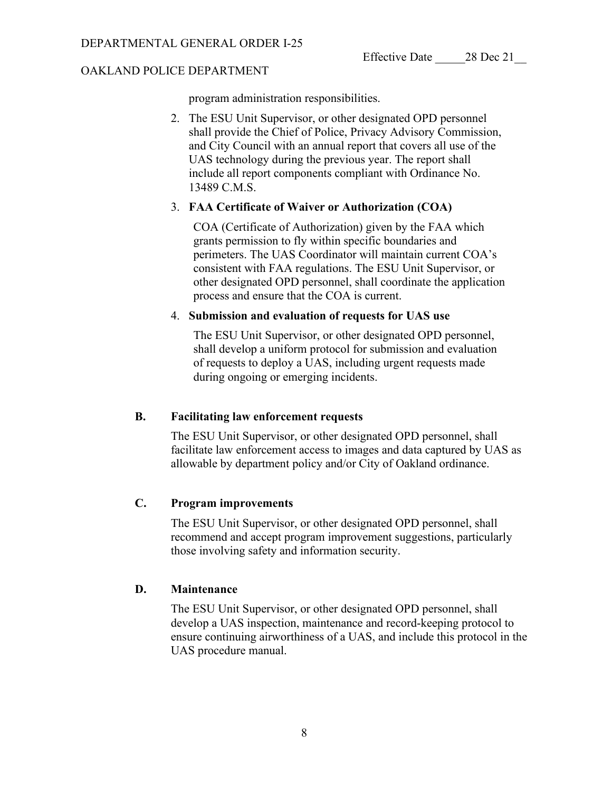program administration responsibilities.

2. The ESU Unit Supervisor, or other designated OPD personnel shall provide the Chief of Police, Privacy Advisory Commission, and City Council with an annual report that covers all use of the UAS technology during the previous year. The report shall include all report components compliant with Ordinance No. 13489 C.M.S.

# 3. **FAA Certificate of Waiver or Authorization (COA)**

COA (Certificate of Authorization) given by the FAA which grants permission to fly within specific boundaries and perimeters. The UAS Coordinator will maintain current COA's consistent with FAA regulations. The ESU Unit Supervisor, or other designated OPD personnel, shall coordinate the application process and ensure that the COA is current.

# 4. **Submission and evaluation of requests for UAS use**

The ESU Unit Supervisor, or other designated OPD personnel, shall develop a uniform protocol for submission and evaluation of requests to deploy a UAS, including urgent requests made during ongoing or emerging incidents.

# **B. Facilitating law enforcement requests**

The ESU Unit Supervisor, or other designated OPD personnel, shall facilitate law enforcement access to images and data captured by UAS as allowable by department policy and/or City of Oakland ordinance.

# **C. Program improvements**

The ESU Unit Supervisor, or other designated OPD personnel, shall recommend and accept program improvement suggestions, particularly those involving safety and information security.

# **D. Maintenance**

The ESU Unit Supervisor, or other designated OPD personnel, shall develop a UAS inspection, maintenance and record-keeping protocol to ensure continuing airworthiness of a UAS, and include this protocol in the UAS procedure manual.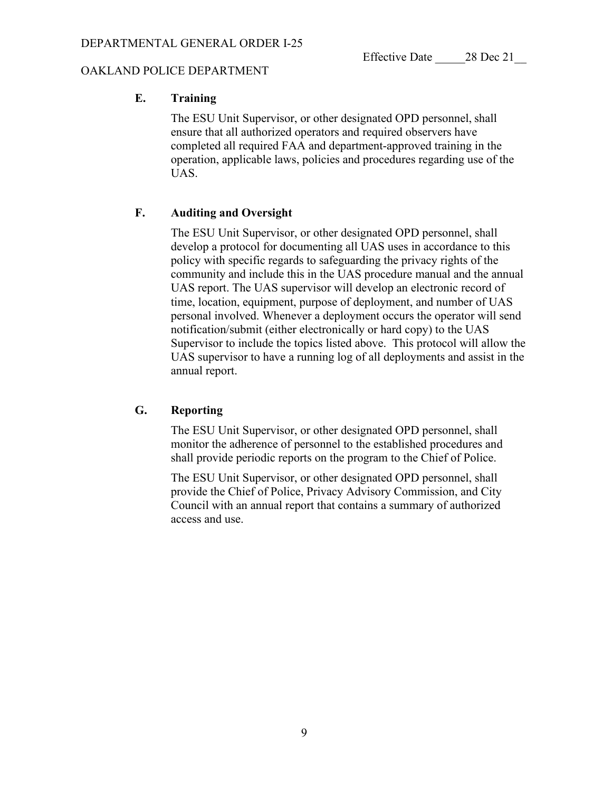Effective Date  $28$  Dec 21

### OAKLAND POLICE DEPARTMENT

# **E. Training**

The ESU Unit Supervisor, or other designated OPD personnel, shall ensure that all authorized operators and required observers have completed all required FAA and department-approved training in the operation, applicable laws, policies and procedures regarding use of the UAS.

# **F. Auditing and Oversight**

The ESU Unit Supervisor, or other designated OPD personnel, shall develop a protocol for documenting all UAS uses in accordance to this policy with specific regards to safeguarding the privacy rights of the community and include this in the UAS procedure manual and the annual UAS report. The UAS supervisor will develop an electronic record of time, location, equipment, purpose of deployment, and number of UAS personal involved. Whenever a deployment occurs the operator will send notification/submit (either electronically or hard copy) to the UAS Supervisor to include the topics listed above. This protocol will allow the UAS supervisor to have a running log of all deployments and assist in the annual report.

# **G. Reporting**

The ESU Unit Supervisor, or other designated OPD personnel, shall monitor the adherence of personnel to the established procedures and shall provide periodic reports on the program to the Chief of Police.

The ESU Unit Supervisor, or other designated OPD personnel, shall provide the Chief of Police, Privacy Advisory Commission, and City Council with an annual report that contains a summary of authorized access and use.